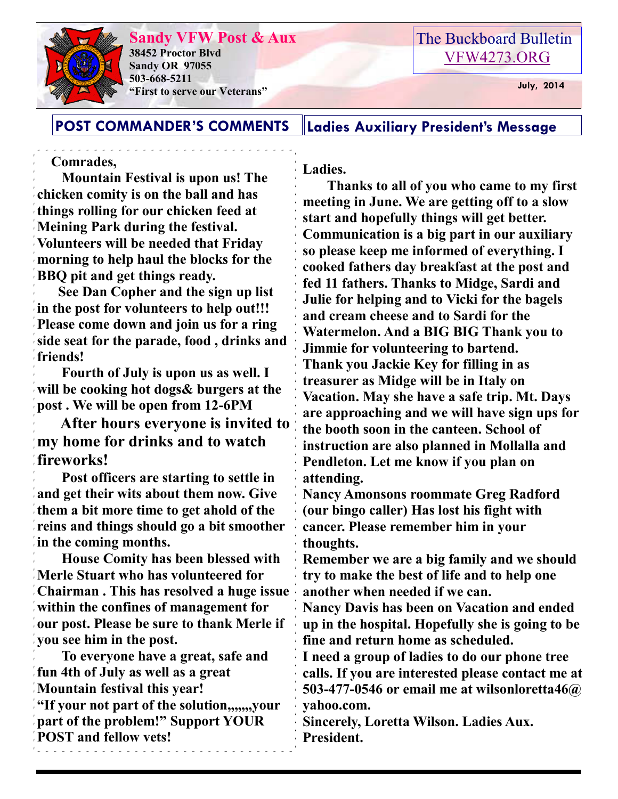

**Sandy VFW Post & Aux 38452 Proctor Blvd Sandy OR 97055 503-668-5211 "First to serve our Veterans" July, 2014** 

## The Buckboard Bulletin [VFW4273.ORG](http://vfw4273.org/)

### **POST COMMANDER'S COMMENTS Ladies Auxiliary President's Message**

#### **Comrades,**

 **Mountain Festival is upon us! The chicken comity is on the ball and has things rolling for our chicken feed at Meining Park during the festival. Volunteers will be needed that Friday morning to help haul the blocks for the BBQ pit and get things ready.** 

 **See Dan Copher and the sign up list in the post for volunteers to help out!!! Please come down and join us for a ring side seat for the parade, food , drinks and friends!** 

 **Fourth of July is upon us as well. I will be cooking hot dogs& burgers at the post . We will be open from 12-6PM** 

 **After hours everyone is invited to my home for drinks and to watch fireworks!** 

 **Post officers are starting to settle in and get their wits about them now. Give them a bit more time to get ahold of the reins and things should go a bit smoother in the coming months.** 

 **House Comity has been blessed with Merle Stuart who has volunteered for Chairman . This has resolved a huge issue within the confines of management for our post. Please be sure to thank Merle if you see him in the post.** 

 **To everyone have a great, safe and fun 4th of July as well as a great Mountain festival this year! "If your not part of the solution,,,,,,,your part of the problem!" Support YOUR POST and fellow vets!** 

**Ladies.** 

 **Thanks to all of you who came to my first meeting in June. We are getting off to a slow start and hopefully things will get better. Communication is a big part in our auxiliary so please keep me informed of everything. I cooked fathers day breakfast at the post and fed 11 fathers. Thanks to Midge, Sardi and Julie for helping and to Vicki for the bagels and cream cheese and to Sardi for the Watermelon. And a BIG BIG Thank you to Jimmie for volunteering to bartend. Thank you Jackie Key for filling in as treasurer as Midge will be in Italy on Vacation. May she have a safe trip. Mt. Days are approaching and we will have sign ups for the booth soon in the canteen. School of instruction are also planned in Mollalla and Pendleton. Let me know if you plan on attending.** 

**Nancy Amonsons roommate Greg Radford (our bingo caller) Has lost his fight with cancer. Please remember him in your thoughts.** 

**Remember we are a big family and we should try to make the best of life and to help one another when needed if we can.** 

**Nancy Davis has been on Vacation and ended up in the hospital. Hopefully she is going to be fine and return home as scheduled.** 

**I need a group of ladies to do our phone tree calls. If you are interested please contact me at 503-477-0546 or email me at wilsonloretta46@ yahoo.com.** 

**Sincerely, Loretta Wilson. Ladies Aux. President.**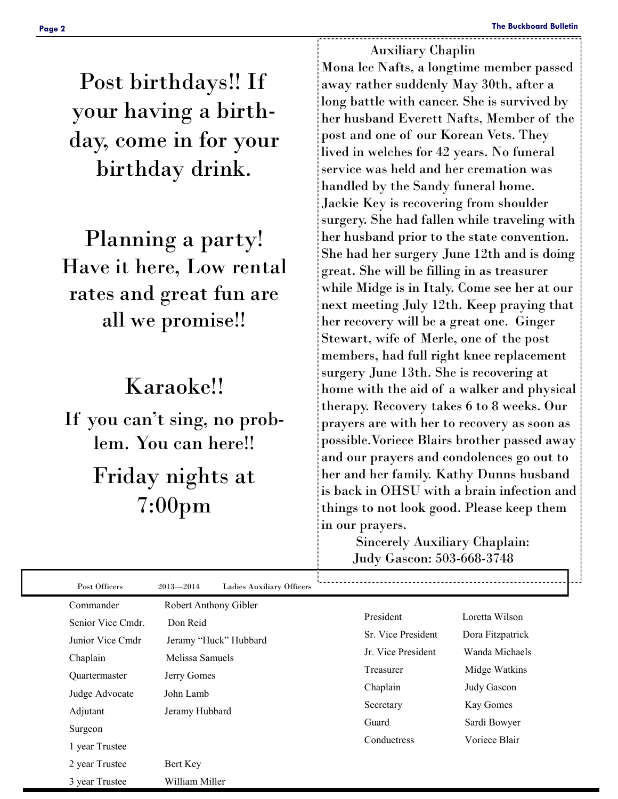Post birthdays!! If your having a birthday, come in for your birthday drink.

Planning a party! Have it here, Low rental rates and great fun are all we promise!!

# Karaoke!!

If you can't sing, no problem. You can here!! Friday nights at 7:00pm

 Auxiliary Chaplin Mona lee Nafts, a longtime member passed away rather suddenly May 30th, after a long battle with cancer. She is survived by her husband Everett Nafts, Member of the post and one of our Korean Vets. They lived in welches for 42 years. No funeral service was held and her cremation was handled by the Sandy funeral home. Jackie Key is recovering from shoulder surgery. She had fallen while traveling with her husband prior to the state convention. She had her surgery June 12th and is doing great. She will be filling in as treasurer while Midge is in Italy. Come see her at our next meeting July 12th. Keep praying that her recovery will be a great one. Ginger Stewart, wife of Merle, one of the post members, had full right knee replacement surgery June 13th. She is recovering at home with the aid of a walker and physical therapy. Recovery takes 6 to 8 weeks. Our prayers are with her to recovery as soon as possible.Voriece Blairs brother passed away and our prayers and condolences go out to her and her family. Kathy Dunns husband is back in OHSU with a brain infection and things to not look good. Please keep them in our prayers.

> Sincerely Auxiliary Chaplain: Judy Gascon: 503-668-3748

| Post Officers     | $2013 - 2014$<br><b>Ladies Auxiliary Officers</b> |                    |                  |
|-------------------|---------------------------------------------------|--------------------|------------------|
| Commander         | Robert Anthony Gibler                             |                    |                  |
| Senior Vice Cmdr. | Don Reid                                          | President          | Loretta Wilson   |
| Junior Vice Cmdr  | Jeramy "Huck" Hubbard                             | Sr. Vice President | Dora Fitzpatrick |
| Chaplain          | Melissa Samuels                                   | Jr. Vice President | Wanda Michaels   |
| Quartermaster     | Jerry Gomes                                       | Treasurer          | Midge Watkins    |
| Judge Advocate    | John Lamb                                         | Chaplain           | Judy Gascon      |
| Adjutant          | Jeramy Hubbard                                    | Secretary          | Kay Gomes        |
| Surgeon           |                                                   | Guard              | Sardi Bowyer     |
|                   |                                                   | Conductress        | Voriece Blair    |
| 1 year Trustee    |                                                   |                    |                  |
| 2 year Trustee    | Bert Key                                          |                    |                  |
| 3 year Trustee    | William Miller                                    |                    |                  |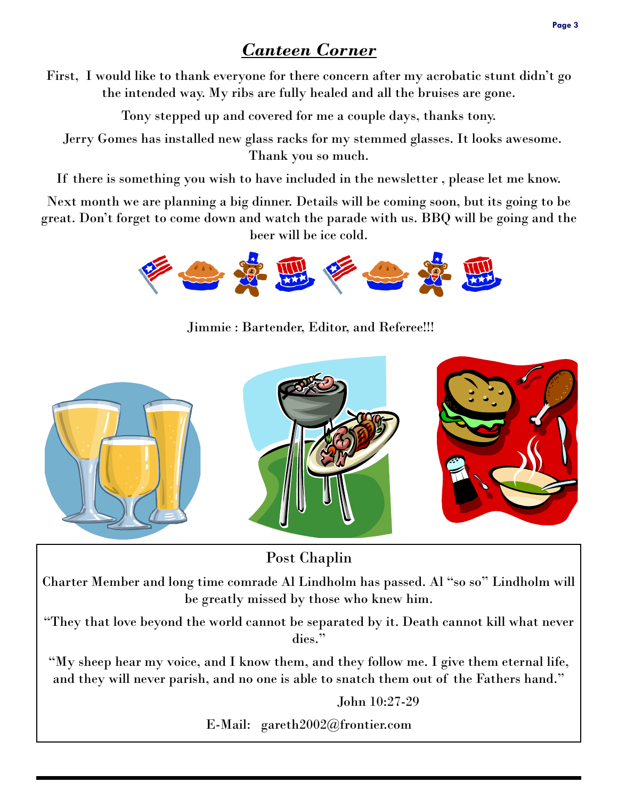# *Canteen Corner*

First, I would like to thank everyone for there concern after my acrobatic stunt didn't go the intended way. My ribs are fully healed and all the bruises are gone.

Tony stepped up and covered for me a couple days, thanks tony.

 Jerry Gomes has installed new glass racks for my stemmed glasses. It looks awesome. Thank you so much.

If there is something you wish to have included in the newsletter , please let me know.

Next month we are planning a big dinner. Details will be coming soon, but its going to be great. Don't forget to come down and watch the parade with us. BBQ will be going and the beer will be ice cold.



Jimmie : Bartender, Editor, and Referee!!!



Post Chaplin

Charter Member and long time comrade Al Lindholm has passed. Al "so so" Lindholm will be greatly missed by those who knew him.

"They that love beyond the world cannot be separated by it. Death cannot kill what never dies."

"My sheep hear my voice, and I know them, and they follow me. I give them eternal life, and they will never parish, and no one is able to snatch them out of the Fathers hand."

John 10:27-29

E-Mail: gareth2002@frontier.com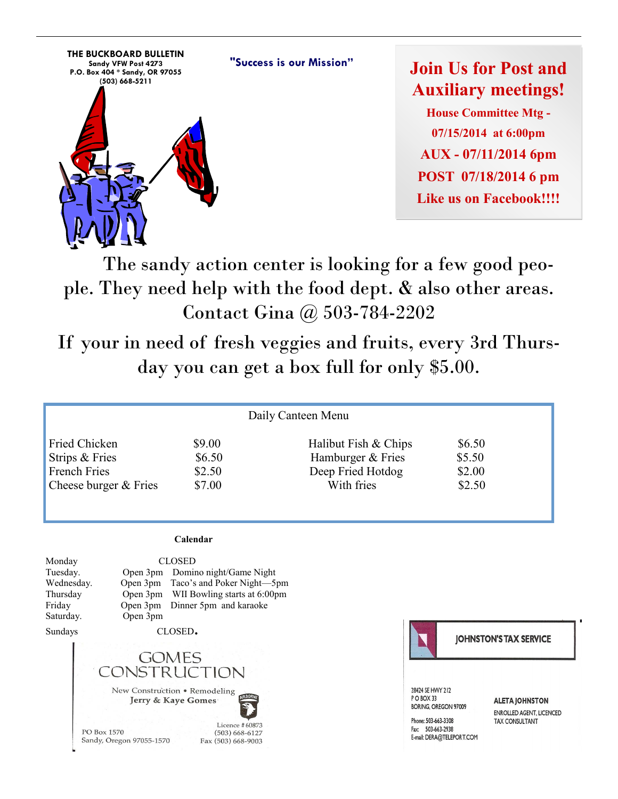

**Join Us for Post and Auxiliary meetings! House Committee Mtg - 07/15/2014 at 6:00pm AUX - 07/11/2014 6pm POST 07/18/2014 6 pm**  Like us on Facebook!!!!

 The sandy action center is looking for a few good people. They need help with the food dept. & also other areas. Contact Gina @ 503-784-2202

If your in need of fresh veggies and fruits, every 3rd Thursday you can get a box full for only \$5.00.

| Daily Canteen Menu    |        |                      |        |  |  |  |  |
|-----------------------|--------|----------------------|--------|--|--|--|--|
| Fried Chicken         | \$9.00 | Halibut Fish & Chips | \$6.50 |  |  |  |  |
| Strips & Fries        | \$6.50 | Hamburger & Fries    | \$5.50 |  |  |  |  |
| <b>French Fries</b>   | \$2.50 | Deep Fried Hotdog    | \$2.00 |  |  |  |  |
| Cheese burger & Fries | \$7.00 | With fries           | \$2.50 |  |  |  |  |

#### **Calendar**

Monday CLOSED Tuesday. Open 3pm Domino night/Game Night Wednesday. Open 3pm Taco's and Poker Night—5pm Thursday Open 3pm WII Bowling starts at 6:00pm Friday Open 3pm Dinner 5pm and karaoke Saturday. Open 3pm

Sundays CLOSED**.** 



PO Box 1570 Sandy, Oregon 97055-1570

Licence #60873  $(503) 668 - 6127$ Fax (503) 668-9003



**JOHNSTON'S TAX SERVICE** 

28424 SE HWY 212 PO BOX 33 **BORING, OREGON 97009** 

Phone: 503-663-3308 Fax: 503-663-2938 E-mail: DERA@TELEPORT.COM **ALETA JOHNSTON** ENROLLED AGENT, LICENCED **TAX CONSULTANT**